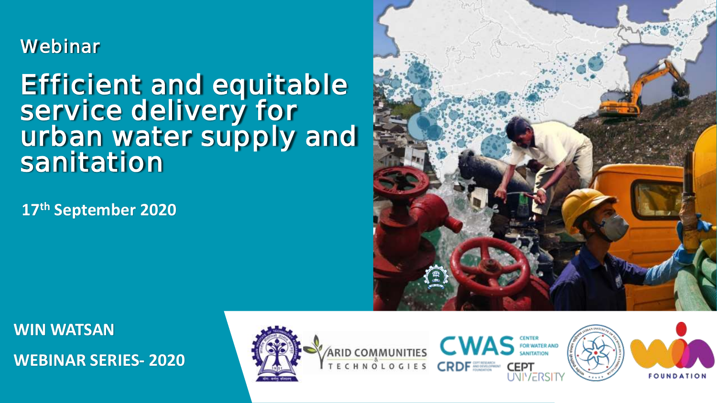# **Webinar**

# Efficient and equitable service delivery for urban water supply and sanitation

**17th September 2020**



**WIN WATSAN WEBINAR SERIES- 2020**





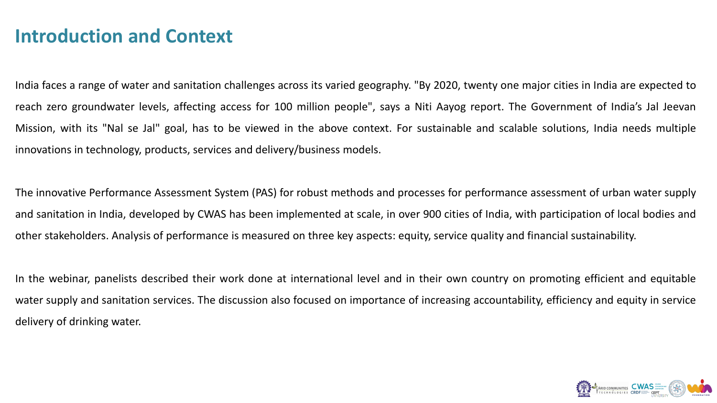# **Introduction and Context**

India faces a range of water and sanitation challenges across its varied geography. "By 2020, twenty one major cities in India are expected to reach zero groundwater levels, affecting access for 100 million people", says a Niti Aayog report. The Government of India's Jal Jeevan Mission, with its "Nal se Jal" goal, has to be viewed in the above context. For sustainable and scalable solutions, India needs multiple innovations in technology, products, services and delivery/business models.

The innovative Performance Assessment System (PAS) for robust methods and processes for performance assessment of urban water supply and sanitation in India, developed by CWAS has been implemented at scale, in over 900 cities of India, with participation of local bodies and other stakeholders. Analysis of performance is measured on three key aspects: equity, service quality and financial sustainability.

In the webinar, panelists described their work done at international level and in their own country on promoting efficient and equitable water supply and sanitation services. The discussion also focused on importance of increasing accountability, efficiency and equity in service delivery of drinking water.

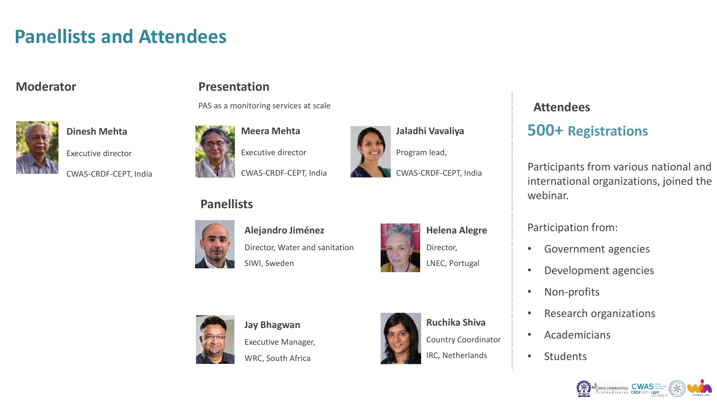# **Panellists and Attendees**

# **Moderator**



**Dinesh Mehta**

Executive director

CWAS-CRDF-CEPT, India

# **Presentation**

PAS as a monitoring services at scale





**Jaladhi Vavaliya**

Program lead,

CWAS-CRDF-CEPT, India

# **Panellists**



**Alejandro Jiménez**

SIWI, Sweden

Director, Water and sanitation



LNEC, Portugal



**Jay Bhagwan** Executive Manager, WRC, South Africa



**Ruchika Shiva** Country Coordinator

IRC, Netherlands

# **Attendees**

# **500+ Registrations**

Participants from various national and international organizations, joined the webinar.

Participation from:

- Government agencies
- Development agencies
- Non-profits
- Research organizations
- Academicians
- Students

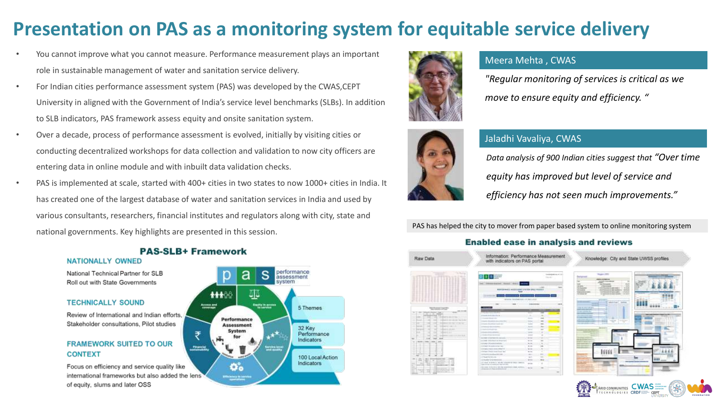# **Presentation on PAS as a monitoring system for equitable service delivery**

- You cannot improve what you cannot measure. Performance measurement plays an important role in sustainable management of water and sanitation service delivery.
- For Indian cities performance assessment system (PAS) was developed by the CWAS,CEPT University in aligned with the Government of India's service level benchmarks (SLBs). In addition to SLB indicators, PAS framework assess equity and onsite sanitation system.
- Over a decade, process of performance assessment is evolved, initially by visiting cities or conducting decentralized workshops for data collection and validation to now city officers are entering data in online module and with inbuilt data validation checks.
- PAS is implemented at scale, started with 400+ cities in two states to now 1000+ cities in India. It has created one of the largest database of water and sanitation services in India and used by various consultants, researchers, financial institutes and regulators along with city, state and national governments. Key highlights are presented in this session.

### performance s a assessment 哑 11100 Access and<br>soverage **Experts in account** 5 Themes Performance **Assessment** 32 Key System ₹ Performance Indicators Financia 100 Local Action Indicators o.



## Meera Mehta , CWAS

*"Regular monitoring of services is critical as we move to ensure equity and efficiency. "*



# Jaladhi Vavaliya, CWAS

*Data analysis of 900 Indian cities suggest that "Over time equity has improved but level of service and efficiency has not seen much improvements."*

PAS has helped the city to mover from paper based system to online monitoring system

### **Enabled ease in analysis and reviews**

| Raw Data            | Information: Performance Measurement.<br>with indicators on PAS portal                                                                                                                                                                                                                                                                                                   |                                                                                                                                                                                                                                   | Knowledge: City and State UWSS profiles                                                                                                                                                                                                                                                                                                                                                                                                 |                                                         |
|---------------------|--------------------------------------------------------------------------------------------------------------------------------------------------------------------------------------------------------------------------------------------------------------------------------------------------------------------------------------------------------------------------|-----------------------------------------------------------------------------------------------------------------------------------------------------------------------------------------------------------------------------------|-----------------------------------------------------------------------------------------------------------------------------------------------------------------------------------------------------------------------------------------------------------------------------------------------------------------------------------------------------------------------------------------------------------------------------------------|---------------------------------------------------------|
|                     | <b>西日本語</b><br>$\frac{1}{2}$<br>Disney Garrer, Grenz, Sadra<br><b>RESERVATION AND A GALLERY LINES OF CONTRACT AND LINES</b><br><b><i><u>Agreed</u></i></b><br>$-0.000000$<br>represented internal entering at the aid of the Australia                                                                                                                                   | to design a collection<br><b>Service</b>                                                                                                                                                                                          | <b>Thursday</b><br><b>Normal</b><br><b>MOVE OF BRITIS</b><br><b>Any E research</b><br>$-$<br><b>WA</b><br>-<br><b>SEAT OF REAL PROPERTY</b><br>÷<br><b>HOME</b><br><b>Targainers</b><br>5.530<br><b>Sacridades &amp; data</b><br><b>SERVICE</b><br><b>NESSEE</b><br><b>WORK BY</b><br>The brake of the capacity reporting<br><b>SALESMAN AND</b><br>--<br><b><i><u>International</u></i></b><br>140 Miles<br>contact state is a project |                                                         |
| MAN TOTAL E DE CORP | LESHARA GARCINE A BACK<br>The property of the control of<br>The business of the cold and cold<br>Linkedy Procedures and Link<br><b>SAN</b><br>Conference of the American<br><b>CONTRACTOR</b><br>1. A Bride children became and<br>LL METODORE COMPANY COMPANY<br>Ark Free - Allerman L.A. Photograph<br>a la propor del contentato del<br>I II is not the continuum one | $\sim$<br><b>Service</b><br><b>Select</b><br>×<br>u<br>٠<br><b>America</b><br>$+ -$<br>$\overline{1}$<br><b>Service</b><br><b>Service</b><br>$\sim$<br><b>Send</b><br>$= -1$<br><b>SCIENT</b><br>÷<br><b>WORK</b><br>×<br>to be   | <b><i><u>Administration</u></i></b><br><b>CALLED</b><br>--<br><b>SERVICE</b><br><b>CALVIS A</b><br><b>THE R. P. LEWIS CO., LANSING, MICH.</b><br><b>ALCOHOL: AND AND AND ARRESTS</b><br><b>CONTRACTOR</b><br><b>STATISTICS</b><br>31.41<br>≂<br>≂                                                                                                                                                                                       | and the state of the A<br><b>CONTRACTOR</b><br>$-1.1.1$ |
|                     | It is based of pollutional independent<br>of the page of their complication can-<br>1-8 Ford Fall and Alland Rich Edit<br>C. P. Margaret Harry Street Links<br>3.8.9.000 m (47.000 M 0.000)<br>THE RESEARCH WAS SERVED FOR THE CONTRACTOR<br>Advertis Edward & Like supported visit screen.                                                                              | ×<br><b>Service</b><br>Acres.<br>$\frac{1}{2} \left( \frac{1}{2} \right) \left( \frac{1}{2} \right) \left( \frac{1}{2} \right)$<br>$\cdots$<br><b>NO</b><br>$-$<br><b>Artists</b><br>$-100$<br><b>Gentleman</b><br><b>Salting</b> | <b><i><u>PART TER</u></i></b>                                                                                                                                                                                                                                                                                                                                                                                                           | <b>AND GARAY</b>                                        |



### **PAS-SLB+ Framework NATIONALLY OWNED**

National Technical Partner for SLB Roll out with State Governments

### **TECHNICALLY SOUND**

Review of International and Indian efforts. Stakeholder consultations, Pilot studies

### **FRAMEWORK SUITED TO OUR CONTEXT**

Focus on efficiency and service quality like international frameworks but also added the lens of equity, slums and later OSS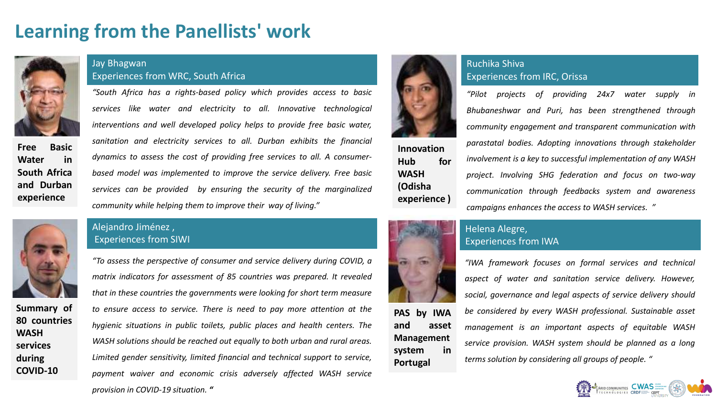# **Learning from the Panellists' work**



**Free Basic Water in South Africa and Durban experience**

## Jay Bhagwan Experiences from WRC, South Africa

*"South Africa has a rights-based policy which provides access to basic services like water and electricity to all. Innovative technological interventions and well developed policy helps to provide free basic water, sanitation and electricity services to all. Durban exhibits the financial dynamics to assess the cost of providing free services to all. A consumerbased model was implemented to improve the service delivery. Free basic services can be provided by ensuring the security of the marginalized community while helping them to improve their way of living."*

**Summary of 80 countries WASH services during COVID-10**

## Alejandro Jiménez , Experiences from SIWI





# **Innovation Hub for WASH (Odisha experience )**



## Ruchika Shiva Experiences from IRC, Orissa

*"Pilot projects of providing 24x7 water supply in Bhubaneshwar and Puri, has been strengthened through community engagement and transparent communication with parastatal bodies. Adopting innovations through stakeholder involvement is a key to successful implementation of any WASH project. Involving SHG federation and focus on two-way communication through feedbacks system and awareness campaigns enhances the access to WASH services. "*



**PAS by IWA and asset Management system in**

**Portugal**

## Helena Alegre, Experiences from IWA

*"IWA framework focuses on formal services and technical aspect of water and sanitation service delivery. However, social, governance and legal aspects of service delivery should be considered by every WASH professional. Sustainable asset management is an important aspects of equitable WASH service provision. WASH system should be planned as a long terms solution by considering all groups of people. "*

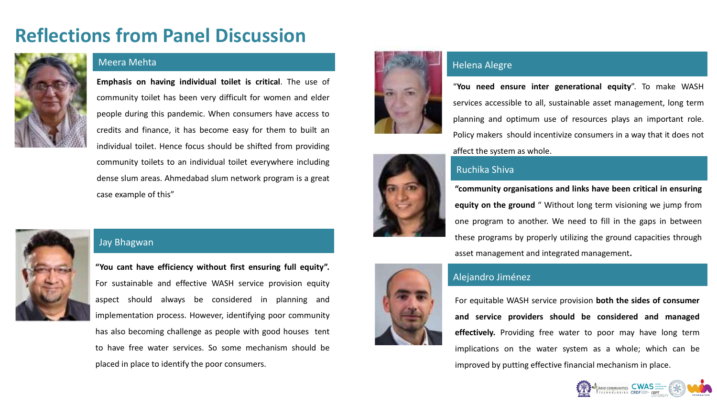# **Reflections from Panel Discussion**



## Meera Mehta

**Emphasis on having individual toilet is critical**. The use of community toilet has been very difficult for women and elder people during this pandemic. When consumers have access to credits and finance, it has become easy for them to built an individual toilet. Hence focus should be shifted from providing community toilets to an individual toilet everywhere including dense slum areas. Ahmedabad slum network program is a great case example of this"



## Jay Bhagwan

**"You cant have efficiency without first ensuring full equity".** For sustainable and effective WASH service provision equity aspect should always be considered in planning and implementation process. However, identifying poor community has also becoming challenge as people with good houses tent to have free water services. So some mechanism should be placed in place to identify the poor consumers.



## Helena Alegre

"**You need ensure inter generational equity**". To make WASH services accessible to all, sustainable asset management, long term planning and optimum use of resources plays an important role. Policy makers should incentivize consumers in a way that it does not affect the system as whole.

# Ruchika Shiva

**"community organisations and links have been critical in ensuring equity on the ground** " Without long term visioning we jump from one program to another. We need to fill in the gaps in between these programs by properly utilizing the ground capacities through asset management and integrated management**.**



## Alejandro Jiménez

For equitable WASH service provision **both the sides of consumer and service providers should be considered and managed effectively.** Providing free water to poor may have long term implications on the water system as a whole; which can be improved by putting effective financial mechanism in place.

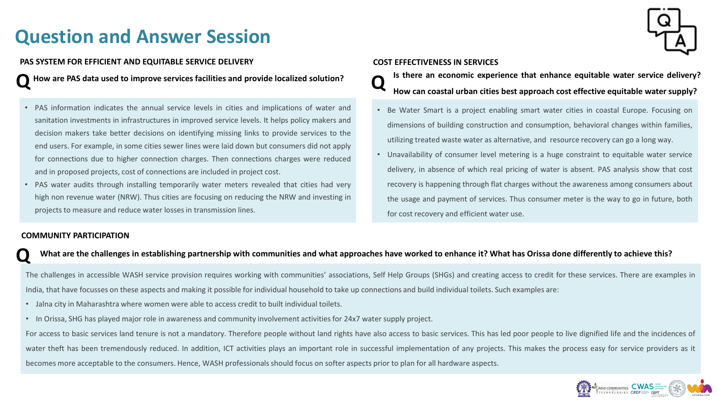# **Question and Answer Session**



### **PAS SYSTEM FOR EFFICIENT AND EQUITABLE SERVICE DELIVERY COST EFFECTIVENESS IN SERVICES**

**QHow are PAS data used to improve services facilities and provide localized solution?**

- PAS information indicates the annual service levels in cities and implications of water and sanitation investments in infrastructures in improved service levels. It helps policy makers and decision makers take better decisions on identifying missing links to provide services to the end users. For example, in some cities sewer lines were laid down but consumers did not apply for connections due to higher connection charges. Then connections charges were reduced and in proposed projects, cost of connections are included in project cost.
- PAS water audits through installing temporarily water meters revealed that cities had very high non revenue water (NRW). Thus cities are focusing on reducing the NRW and investing in projects to measure and reduce water lossesin transmission lines.

- Is there an economic experience that enhance equitable water service delivery?<br>How can coastal urban cities best approach cost effective equitable water supply?
- Be Water Smart is a project enabling smart water cities in coastal Europe. Focusing on dimensions of building construction and consumption, behavioral changes within families, utilizing treated waste water as alternative, and resource recovery can go a long way.
- Unavailability of consumer level metering is a huge constraint to equitable water service delivery, in absence of which real pricing of water is absent. PAS analysis show that cost recovery is happening through flat charges without the awareness among consumers about the usage and payment of services. Thus consumer meter is the way to go in future, both for cost recovery and efficient water use.

### **COMMUNITY PARTICIPATION**

## What are the challenges in establishing partnership with communities and what approaches have worked to enhance it? What has Orissa done differently to achieve this?

The challenges in accessible WASH service provision requires working with communities' associations, Self Help Groups (SHGs) and creating access to credit for these services. There are examples in India, that have focusses on these aspects and making it possible for individual household to take up connections and build individual toilets. Such examples are:

- Jalna city in Maharashtra where women were able to access credit to built individual toilets.
- In Orissa, SHG has played major role in awareness and community involvement activities for 24x7 water supply project.

For access to basic services land tenure is not a mandatory. Therefore people without land rights have also access to basic services. This has led poor people to live dignified life and the incidences of water theft has been tremendously reduced. In addition, ICT activities plays an important role in successful implementation of any projects. This makes the process easy for service providers as it becomes more acceptable to the consumers. Hence, WASH professionalsshould focus on softer aspects prior to plan for all hardware aspects.

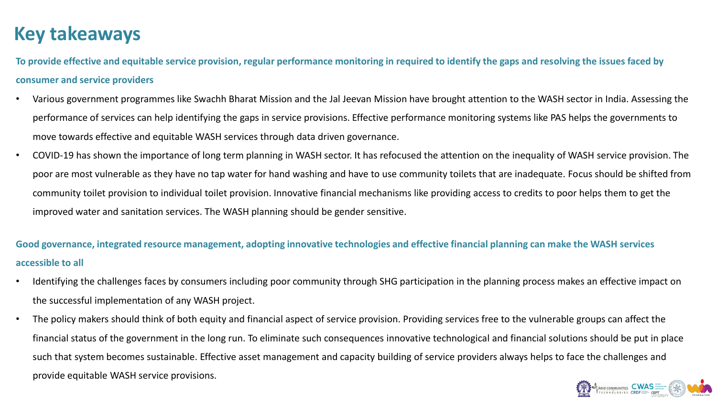# **Key takeaways**

**To provide effective and equitable service provision, regular performance monitoring in required to identify the gaps and resolving the issues faced by consumer and service providers**

- Various government programmes like Swachh Bharat Mission and the Jal Jeevan Mission have brought attention to the WASH sector in India. Assessing the performance of services can help identifying the gaps in service provisions. Effective performance monitoring systems like PAS helps the governments to move towards effective and equitable WASH services through data driven governance.
- COVID-19 has shown the importance of long term planning in WASH sector. It has refocused the attention on the inequality of WASH service provision. The poor are most vulnerable as they have no tap water for hand washing and have to use community toilets that are inadequate. Focus should be shifted from community toilet provision to individual toilet provision. Innovative financial mechanisms like providing access to credits to poor helps them to get the improved water and sanitation services. The WASH planning should be gender sensitive.

**Good governance, integrated resource management, adopting innovative technologies and effective financial planning can make the WASH services accessible to all**

- Identifying the challenges faces by consumers including poor community through SHG participation in the planning process makes an effective impact on the successful implementation of any WASH project.
- The policy makers should think of both equity and financial aspect of service provision. Providing services free to the vulnerable groups can affect the financial status of the government in the long run. To eliminate such consequences innovative technological and financial solutions should be put in place such that system becomes sustainable. Effective asset management and capacity building of service providers always helps to face the challenges and provide equitable WASH service provisions.